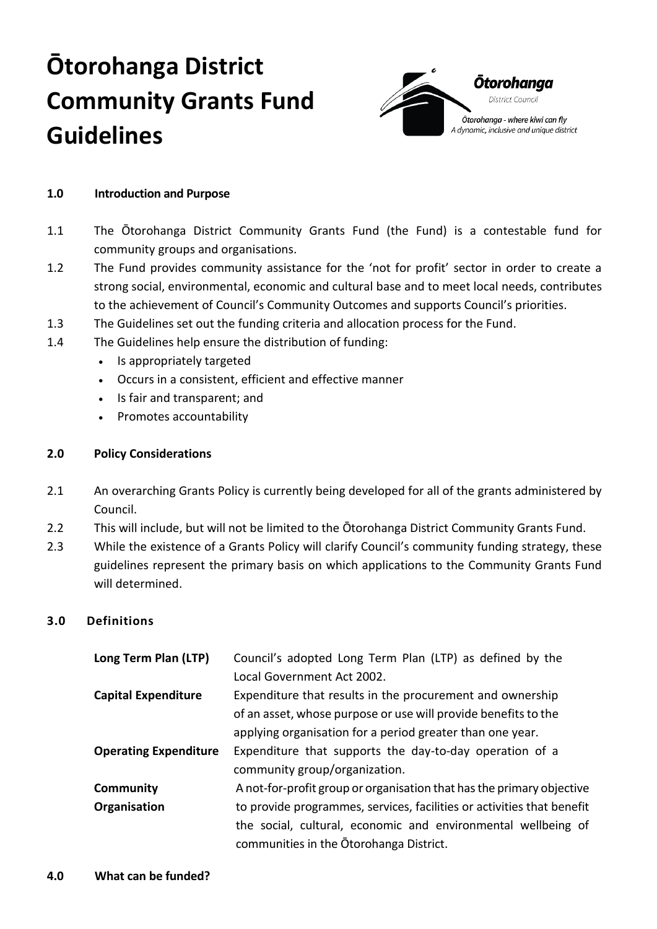# **Ōtorohanga District Community Grants Fund Guidelines**



#### **1.0 Introduction and Purpose**

- 1.1 The Ōtorohanga District Community Grants Fund (the Fund) is a contestable fund for community groups and organisations.
- 1.2 The Fund provides community assistance for the 'not for profit' sector in order to create a strong social, environmental, economic and cultural base and to meet local needs, contributes to the achievement of Council's Community Outcomes and supports Council's priorities.
- 1.3 The Guidelines set out the funding criteria and allocation process for the Fund.
- 1.4 The Guidelines help ensure the distribution of funding:
	- Is appropriately targeted
	- Occurs in a consistent, efficient and effective manner
	- Is fair and transparent; and
	- Promotes accountability

# **2.0 Policy Considerations**

- 2.1 An overarching Grants Policy is currently being developed for all of the grants administered by Council.
- 2.2 This will include, but will not be limited to the Ōtorohanga District Community Grants Fund.
- 2.3 While the existence of a Grants Policy will clarify Council's community funding strategy, these guidelines represent the primary basis on which applications to the Community Grants Fund will determined.

#### **3.0 Definitions**

| Long Term Plan (LTP)         | Council's adopted Long Term Plan (LTP) as defined by the               |
|------------------------------|------------------------------------------------------------------------|
|                              | Local Government Act 2002.                                             |
| <b>Capital Expenditure</b>   | Expenditure that results in the procurement and ownership              |
|                              | of an asset, whose purpose or use will provide benefits to the         |
|                              | applying organisation for a period greater than one year.              |
| <b>Operating Expenditure</b> | Expenditure that supports the day-to-day operation of a                |
|                              | community group/organization.                                          |
| Community                    | A not-for-profit group or organisation that has the primary objective  |
| Organisation                 | to provide programmes, services, facilities or activities that benefit |
|                              | the social, cultural, economic and environmental wellbeing of          |
|                              | communities in the Otorohanga District.                                |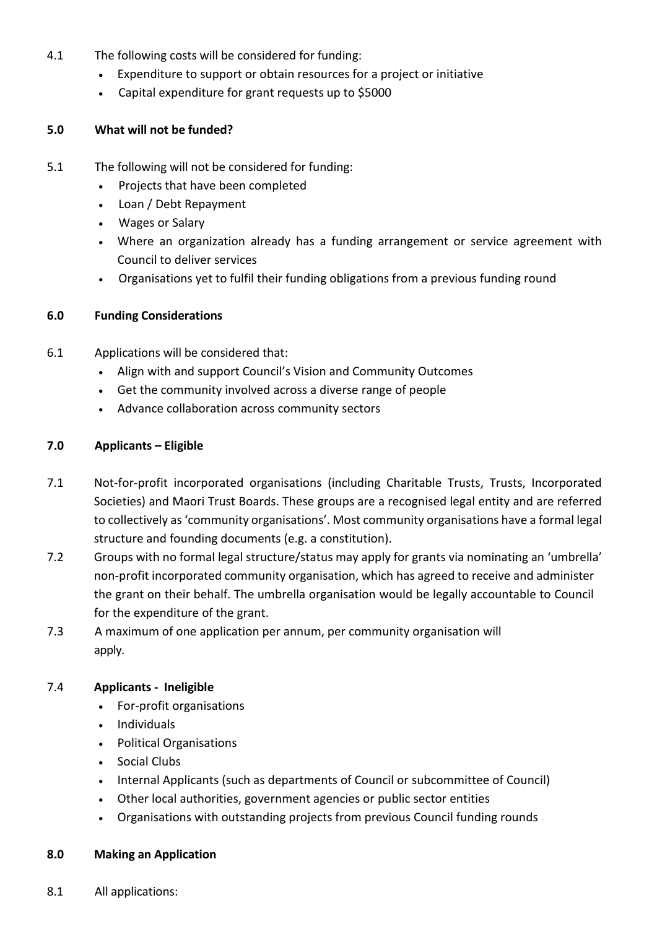- 4.1 The following costs will be considered for funding:
	- Expenditure to support or obtain resources for a project or initiative
	- Capital expenditure for grant requests up to \$5000

## **5.0 What will not be funded?**

- 5.1 The following will not be considered for funding:
	- Projects that have been completed
	- Loan / Debt Repayment
	- Wages or Salary
	- Where an organization already has a funding arrangement or service agreement with Council to deliver services
	- Organisations yet to fulfil their funding obligations from a previous funding round

## **6.0 Funding Considerations**

- 6.1 Applications will be considered that:
	- Align with and support Council's Vision and Community Outcomes
	- Get the community involved across a diverse range of people
	- Advance collaboration across community sectors

## **7.0 Applicants – Eligible**

- 7.1 Not-for-profit incorporated organisations (including Charitable Trusts, Trusts, Incorporated Societies) and Maori Trust Boards. These groups are a recognised legal entity and are referred to collectively as 'community organisations'. Most community organisations have a formal legal structure and founding documents (e.g. a constitution).
- 7.2 Groups with no formal legal structure/status may apply for grants via nominating an 'umbrella' non-profit incorporated community organisation, which has agreed to receive and administer the grant on their behalf. The umbrella organisation would be legally accountable to Council for the expenditure of the grant.
- 7.3 A maximum of one application per annum, per community organisation will apply.

# 7.4 **Applicants - Ineligible**

- For-profit organisations
- Individuals
- Political Organisations
- Social Clubs
- Internal Applicants (such as departments of Council or subcommittee of Council)
- Other local authorities, government agencies or public sector entities
- Organisations with outstanding projects from previous Council funding rounds

#### **8.0 Making an Application**

8.1 All applications: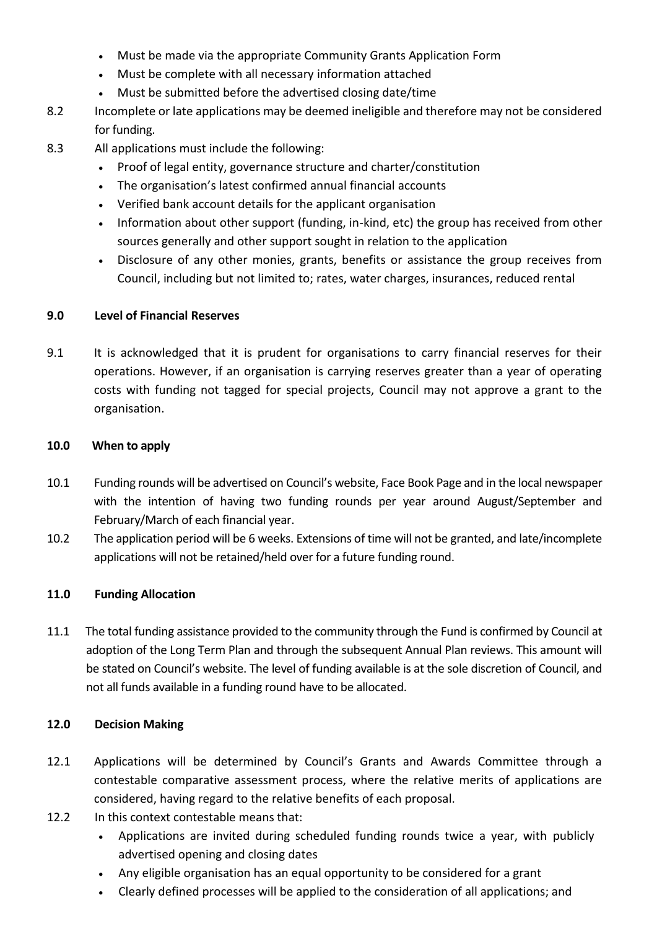- Must be made via the appropriate Community Grants Application Form
- Must be complete with all necessary information attached
- Must be submitted before the advertised closing date/time
- 8.2 Incomplete or late applications may be deemed ineligible and therefore may not be considered for funding.
- 8.3 All applications must include the following:
	- Proof of legal entity, governance structure and charter/constitution
	- The organisation's latest confirmed annual financial accounts
	- Verified bank account details for the applicant organisation
	- Information about other support (funding, in-kind, etc) the group has received from other sources generally and other support sought in relation to the application
	- Disclosure of any other monies, grants, benefits or assistance the group receives from Council, including but not limited to; rates, water charges, insurances, reduced rental

## **9.0 Level of Financial Reserves**

9.1 It is acknowledged that it is prudent for organisations to carry financial reserves for their operations. However, if an organisation is carrying reserves greater than a year of operating costs with funding not tagged for special projects, Council may not approve a grant to the organisation.

## **10.0 When to apply**

- 10.1 Funding rounds will be advertised on Council's website, Face Book Page and in the local newspaper with the intention of having two funding rounds per year around August/September and February/March of each financial year.
- 10.2 The application period will be 6 weeks. Extensions of time will not be granted, and late/incomplete applications will not be retained/held over for a future funding round.

# **11.0 Funding Allocation**

11.1 The total funding assistance provided to the community through the Fund is confirmed by Council at adoption of the Long Term Plan and through the subsequent Annual Plan reviews. This amount will be stated on Council's website. The level of funding available is at the sole discretion of Council, and not all funds available in a funding round have to be allocated.

#### **12.0 Decision Making**

- 12.1 Applications will be determined by Council's Grants and Awards Committee through a contestable comparative assessment process, where the relative merits of applications are considered, having regard to the relative benefits of each proposal.
- 12.2 In this context contestable means that:
	- Applications are invited during scheduled funding rounds twice a year, with publicly advertised opening and closing dates
	- Any eligible organisation has an equal opportunity to be considered for a grant
	- Clearly defined processes will be applied to the consideration of all applications; and